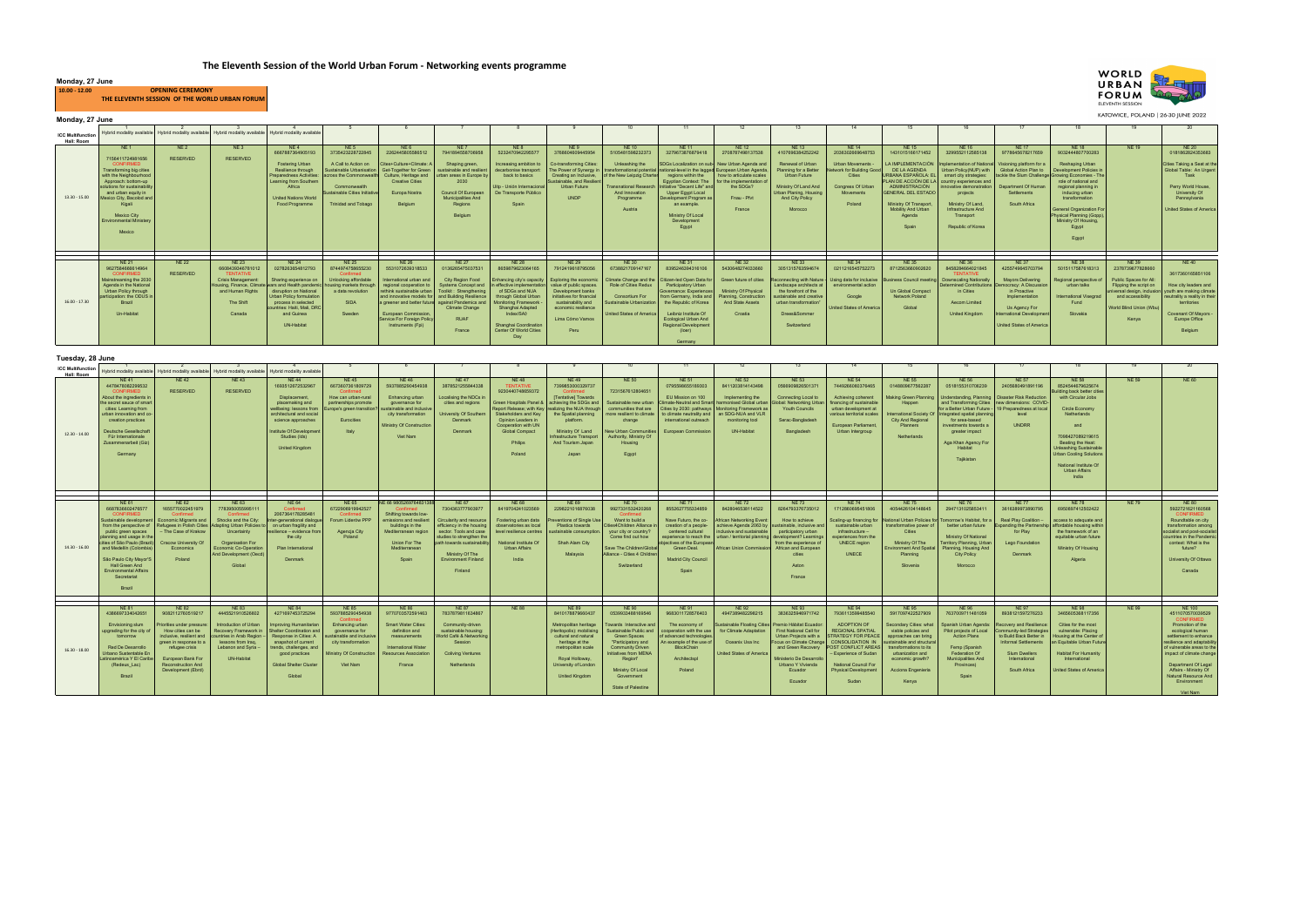| Tuesday, 28 June                       |                                                                                                                                                                                                                                                                                                                                |                                                                                                                                                                                                                                     |                                                                                                                                                                                                                   |                                                                                                                                                                                                                                              |                                                                                                                                                                               |                                                                                                                                                                                              |                                                                                                                                                                                                                                              |                                                                                                                                                                                                   |                                                                                                                                                                                                                                                                                |                                                                                                                                                                                                                                                            |                                                                                                                                                                                                                                        |                                                                                                                                                                                                                                |                                                                                                                                                                                                                                   |                                                                                                                                                                                                                                              |                                                                                                                                                                                                                                       |                                                                                                                                                                                                                                                                                                                                                                       |                                                                                                                                                                                                             |                                                                                                                                                                                                                                                                                                     |              |                                                                                                                                                                                                                                                                                                                    |
|----------------------------------------|--------------------------------------------------------------------------------------------------------------------------------------------------------------------------------------------------------------------------------------------------------------------------------------------------------------------------------|-------------------------------------------------------------------------------------------------------------------------------------------------------------------------------------------------------------------------------------|-------------------------------------------------------------------------------------------------------------------------------------------------------------------------------------------------------------------|----------------------------------------------------------------------------------------------------------------------------------------------------------------------------------------------------------------------------------------------|-------------------------------------------------------------------------------------------------------------------------------------------------------------------------------|----------------------------------------------------------------------------------------------------------------------------------------------------------------------------------------------|----------------------------------------------------------------------------------------------------------------------------------------------------------------------------------------------------------------------------------------------|---------------------------------------------------------------------------------------------------------------------------------------------------------------------------------------------------|--------------------------------------------------------------------------------------------------------------------------------------------------------------------------------------------------------------------------------------------------------------------------------|------------------------------------------------------------------------------------------------------------------------------------------------------------------------------------------------------------------------------------------------------------|----------------------------------------------------------------------------------------------------------------------------------------------------------------------------------------------------------------------------------------|--------------------------------------------------------------------------------------------------------------------------------------------------------------------------------------------------------------------------------|-----------------------------------------------------------------------------------------------------------------------------------------------------------------------------------------------------------------------------------|----------------------------------------------------------------------------------------------------------------------------------------------------------------------------------------------------------------------------------------------|---------------------------------------------------------------------------------------------------------------------------------------------------------------------------------------------------------------------------------------|-----------------------------------------------------------------------------------------------------------------------------------------------------------------------------------------------------------------------------------------------------------------------------------------------------------------------------------------------------------------------|-------------------------------------------------------------------------------------------------------------------------------------------------------------------------------------------------------------|-----------------------------------------------------------------------------------------------------------------------------------------------------------------------------------------------------------------------------------------------------------------------------------------------------|--------------|--------------------------------------------------------------------------------------------------------------------------------------------------------------------------------------------------------------------------------------------------------------------------------------------------------------------|
| <b>ICC Multifunction</b><br>Hall: Room | Hybrid modality available                                                                                                                                                                                                                                                                                                      | Hybrid modality available                                                                                                                                                                                                           | Hybrid modality available                                                                                                                                                                                         | Hybrid modality available                                                                                                                                                                                                                    |                                                                                                                                                                               |                                                                                                                                                                                              |                                                                                                                                                                                                                                              |                                                                                                                                                                                                   | -9                                                                                                                                                                                                                                                                             | 10 <sup>1</sup>                                                                                                                                                                                                                                            | 11                                                                                                                                                                                                                                     | 12                                                                                                                                                                                                                             | 13 <sup>5</sup>                                                                                                                                                                                                                   | 14                                                                                                                                                                                                                                           | 15                                                                                                                                                                                                                                    | 16                                                                                                                                                                                                                                                                                                                                                                    | 17                                                                                                                                                                                                          |                                                                                                                                                                                                                                                                                                     | 19           | 20                                                                                                                                                                                                                                                                                                                 |
| $12.30 - 14.00$                        | <b>NE41</b><br>4478478082299532<br><b>CONFIRMED</b><br>About the ingredients in<br>the secret sauce of smart<br>cities: Learning from<br>urban innovation and co<br>creation practices<br>Deutsche Gesellschaft<br>Für Internationale<br>Zusammenarbeit (Giz)<br>Germany                                                       | <b>NE42</b><br><b>RESERVED</b>                                                                                                                                                                                                      | NF 43<br><b>RESERVED</b>                                                                                                                                                                                          | <b>NE44</b><br>1693512672532967<br>Displacement,<br>placemaking and<br>wellbeing: lessons from<br>architectural and social<br>science approaches<br>Institute Of Development<br>Studies (Ids)<br><b>United Kingdom</b>                       | <b>NE45</b><br>6673607361809729<br>Confirmed<br>How can urban-rural<br>partnerships promote<br>Europe's green transition?<br>Eurocities<br>Italy                              | <b>NE46</b><br>5937885290454938<br>Enhancing urban<br>governance for<br>sustainable and inclusive<br>city transformation<br>Ministry Of Construction<br>Viet Nam                             | <b>NE47</b><br>3878521255844338<br>Localising the NDCs in<br>cities and regions<br>University Of Southern<br>Denmark<br><b>Denmark</b>                                                                                                       | <b>NE48</b><br><b>TENTATIVE</b><br>9230440748659372<br>Green Hospitals Panel &<br>Stakeholders and Key<br>Opinion Leaders in<br>Cooperation with UN<br><b>Global Compact</b><br>Philips<br>Poland | <b>NE49</b><br>7399853000329737<br>Confirmed<br>[Tentative] Towards<br>achieving the SDGs and<br>Report Release: with Kev Trealizing the NUA through<br>the Spatial planning<br>platform.<br>Ministry Of Land<br><b>Infrastructure Transport</b><br>And Tourism Japan<br>Japan | <b>NE 50</b><br>7231567612804651<br>Sustainable new urban<br>communities that are<br>more resilient to climate<br>change<br>New Urban Communities<br>Authority, Ministry Of<br>Housing<br>Egypt                                                            | <b>NE 51</b><br>0795598655189303<br>EU Mission on 100<br><b>Climate-Neutral and Smart</b><br>Cities by 2030; pathways   Monitoring Framework as  <br>to climate neutrality and<br>international outreach<br><b>European Commission</b> | <b>NE 52</b><br>8411203814143498<br>Implementing the<br>harmonised Global urban<br>an SDG-NUA and VLR<br>monitoring tool<br><b>UN-Habitat</b>                                                                                  | <b>NE 53</b><br>0566909826501371<br>Connecting Local to<br>Global: Networking Urt<br><b>Youth Councils</b><br>Serac-Bangladesh<br>Bangladesh                                                                                      | <b>NE 54</b><br>7449266060376465<br>Achieving coherent<br>financing of sustainable<br>urban development at<br>various territorial scales<br>European Parliament.<br>Urban Intergroup                                                         | <b>NE 55</b><br>0148809677562287<br>Happen<br><b>International Society Of</b><br>City And Regional<br>Planners<br>Netherlands                                                                                                         | <b>NE 56</b><br>0518155310706239<br>Making Green Planning   Understanding, Planning   Disaster Risk Reduction<br>and Transforming Cities   new dimensions: COVID-<br>for a Better Urban Future - 19 Preparedness at local<br>Integrated spatial planning<br>for area-based<br>investments towards a<br>greater impact<br>Aga Khan Agency For<br>Habitat<br>Tajikistan | <b>NE 57</b><br>2405680491891196<br>level<br><b>UNDRR</b>                                                                                                                                                   | <b>NE 58</b><br>8524544679625674<br>Building back better cities<br>with Circular Jobs<br>Circle Economy<br>Netherlands<br>and<br>7098427089219615<br>Beating the Heat:<br><b>Unleashing Sustainable</b><br><b>Urban Cooling Solutions</b><br>National Institute Of<br><b>Urban Affairs</b><br>India | <b>NE 59</b> | <b>NE 60</b>                                                                                                                                                                                                                                                                                                       |
|                                        |                                                                                                                                                                                                                                                                                                                                |                                                                                                                                                                                                                                     |                                                                                                                                                                                                                   |                                                                                                                                                                                                                                              |                                                                                                                                                                               |                                                                                                                                                                                              |                                                                                                                                                                                                                                              |                                                                                                                                                                                                   |                                                                                                                                                                                                                                                                                |                                                                                                                                                                                                                                                            |                                                                                                                                                                                                                                        |                                                                                                                                                                                                                                |                                                                                                                                                                                                                                   |                                                                                                                                                                                                                                              |                                                                                                                                                                                                                                       |                                                                                                                                                                                                                                                                                                                                                                       |                                                                                                                                                                                                             |                                                                                                                                                                                                                                                                                                     |              |                                                                                                                                                                                                                                                                                                                    |
| $14.30 - 16.00$                        | <b>NE 61</b><br>6687836602476577<br><b>CONFIRMED</b><br>Sustainable development<br>from the perspective of<br>public green spaces<br>planning and usage in the<br>cities of São Paulo (Brazil)<br>and Medellín (Colombia)<br>São Paulo City Mayor'S<br>Hall Green And<br><b>Environmental Affairs</b><br>Secretariat<br>Brazil | <b>NE 62</b><br>1655770022451979<br>Confirmed<br>Economic Migrants and<br>Refugees in Polish Cities<br>- The Case of Krakow<br>Cracow University Of<br>Economics<br>Poland                                                          | <b>NE 63</b><br>7783950055995111<br>Confirmed<br>Shocks and the City:<br>Adapting Urban Policies to<br>Uncertainty<br><b>Organisation For</b><br><b>Economic Co-Operation</b><br>And Development (Oecd)<br>Global | <b>NE 64</b><br>Confirmed<br>2067364178285481<br>Inter-generational dialogu<br>on urban fragility and<br>resilience - evidence from<br>the city<br>Plan International<br>Denmark                                                             | <b>NE 65</b><br>6722906919942527<br>Confirmed<br>Forum Liderów PPP<br>Agencja City<br>Poland                                                                                  | NE 66 9805269764831388<br><b>Confirmed</b><br>Shifting towards low-<br>emissions and resilient<br>buildings in the<br>Mediterranean region<br><b>Union For The</b><br>Mediterranean<br>Spain | <b>NE 67</b><br>7304363777903977<br>Circularity and resource<br>efficiency in the housing<br>sector. Tools and case<br>studies to strengthen the<br>path towards sustainability.<br>Ministry Of The<br><b>Environment Finland</b><br>Finland | <b>NE 68</b><br>8419704241023569<br>Fostering urban data<br>observatories as local<br>level resilience centres<br>National Institute Of<br><b>Urban Affairs</b><br>India                          | <b>NE 69</b><br>2298221016876038<br>Preventions of Single Use<br><b>Plastics towards</b><br>sustainable consumption.<br>Shah Alam City<br>Malaysia                                                                                                                             | <b>NE 70</b><br>9927331532420268<br>Confirmed<br>Want to build a<br>Cities4Children Alliance in<br>your city or country?<br>Come find out how<br>Save The Children/Global<br>Alliance - Cities 4 Children<br>Switzerland                                   | <b>NE 71</b><br>8552627755334859<br>Nave Futuro, the co-<br>creation of a people-<br>centered cultural<br>iectives of the Europear<br>Green Deal.<br>Madrid City Council<br>Spain                                                      | <b>NE 72</b><br>8428046538114522<br>African Networking Event:<br>inclusive and sustainable<br>experience to reach the I urban / territorial planning I development? Learnings<br>African Union Commission African and European | <b>NE 73</b><br>8264793376735012<br>How to achieve<br>achieve Agenda 2063 by   sustainable, inclusive and<br>participatory urban<br>from the experience of<br>cities<br>Aston<br>France                                           | <b>NE 74</b><br>1712860695451806<br>Scaling-up financing for<br>sustainable urban<br>infrastructure -<br>experiences from the<br><b>UNECE region</b><br><b>UNECE</b>                                                                         | <b>NE75</b><br>4054426104148645<br>National Urban Policies for Tomorrow's Habitat, for<br>transformative power of<br>Cities<br>Ministry Of The<br><b>Environment And Spatial</b><br>Planning<br>Slovenia                              | <b>NE76</b><br>2947131025853411<br>better urban future<br>Ministry Of National<br>Territory Planning, Urban<br>Planning, Housing And<br><b>City Policy</b><br><b>Morocco</b>                                                                                                                                                                                          | <b>NE 77</b><br>3616389973890795<br>Real Play Coalition -<br>Expanding the Partnership affordable housing within<br>for Play<br>Lego Foundation<br>Denmark                                                  | <b>NE 78</b><br>6950897412502422<br>access to adequate and<br>the framework of an<br>equitable urban future<br>Ministry Of Housing<br>Algeria                                                                                                                                                       | <b>NE 79</b> | <b>NE 80</b><br>5922721621160568<br><b>CONFIRMED</b><br>Roundtable on city<br>transformation among<br>socialist and post-socialist<br>countries in the Pandemic<br>context: What is the<br>future?<br>University Of Ottawa<br>Canada                                                                               |
|                                        |                                                                                                                                                                                                                                                                                                                                |                                                                                                                                                                                                                                     |                                                                                                                                                                                                                   |                                                                                                                                                                                                                                              |                                                                                                                                                                               |                                                                                                                                                                                              |                                                                                                                                                                                                                                              |                                                                                                                                                                                                   |                                                                                                                                                                                                                                                                                |                                                                                                                                                                                                                                                            |                                                                                                                                                                                                                                        |                                                                                                                                                                                                                                |                                                                                                                                                                                                                                   |                                                                                                                                                                                                                                              |                                                                                                                                                                                                                                       |                                                                                                                                                                                                                                                                                                                                                                       |                                                                                                                                                                                                             |                                                                                                                                                                                                                                                                                                     |              |                                                                                                                                                                                                                                                                                                                    |
| $16.30 - 18.00$                        | <b>NE 81</b><br>4386697334042651<br>Envisioning slum<br>upgrading for the city of<br>tomorrow<br>Red De Desarrollo<br>Urbano Sustentable En<br>Latinoamérica Y El Carib<br>(Redeus Lac)<br>Brazil                                                                                                                              | <b>NE 82</b><br>9082112760519217<br>Priorities under pressure:<br>How cities can be<br>inclusive, resilient and<br>green in response to a<br>refugee crisis<br>European Bank For<br><b>Reconstruction And</b><br>Development (Ebrd) | <b>NE 83</b><br>4445521910526602<br>Introduction of Urban<br>Recovery Framework in<br>countries in Arab Region<br>lessons from Iraq.<br>Lebanon and Syria -<br>UN-Habitat                                         | <b>NE 84</b><br>4271697453725294<br><b>Improving Humanitarian</b><br><b>Shelter Coordination and</b><br>Response in Cities: A<br>snapshot of current<br>trends, challenges, and<br>good practices<br><b>Global Shelter Cluster</b><br>Global | <b>NE 85</b><br>5937885290454938<br>Confirmed<br>Enhancing urban<br>governance for<br>ustainable and inclusive<br>city transformation<br>Ministry Of Construction<br>Viet Nam | <b>NE 86</b><br>9770703572591463<br><b>Smart Water Cities:</b><br>definition and<br>measurements<br><b>International Water</b><br><b>Resources Association</b><br>France                     | <b>NE 87</b><br>7837879811634867<br>Community-driven<br>sustainable housing:<br>World Café & Networking<br>Session<br><b>Coliving Ventures</b><br>Netherlands                                                                                | <b>NE 88</b>                                                                                                                                                                                      | <b>NE 89</b><br>8410178879660437<br>Metropolitan heritage<br>(Heritopolis): mobilising<br>cultural and natural<br>heritage at the<br>metropolitan scale<br>Royal Holloway,<br>University of London<br><b>United Kingdom</b>                                                    | <b>NE 90</b><br>0539933488169546<br>Towards Interactive and<br>Sustainable Public and<br>Green Spaces<br>"Participatory and<br><b>Community Driven</b><br><b>Initiatives from MENA</b><br>Region"<br>Ministry Of Local<br>Government<br>State of Palestine | NE 91<br>9683011728576403<br>The economy of<br>cooperation with the use<br>advanced technologie<br>a example of the use of<br>BlockChain<br>Architectspl<br>Poland                                                                     | <b>NE 92</b><br>4947389482298215<br>Sustainable Floating Cities<br>for Climate Adaptation<br>Oceanix Usa Inc<br>United States of America                                                                                       | <b>NE93</b><br>3836325946971742<br>Premio Hábitat Ecuador:<br>First National Call for<br>Urban Projects with a<br>Focus on Climate Change CONSOLIDATION IN<br>Ministerio De Desarrollo<br>Urbano Y Vivienda<br>Ecuador<br>Ecuador | <b>NE 94</b><br>7936113599485540<br>ADOPTION OF<br><b>REGIONAL SPATIAL</b><br><b>STRATEGY FOR PEACE</b><br>and Green Recovery   POST CONFLICT AREAS<br>- Experience of Sudan<br>National Council For<br><b>Physical Development</b><br>Sudan | <b>NE95</b><br>5917097422527909<br>Secondary Cities: what<br>viable policies and<br>approaches can bring<br>stainable and structural<br>transformations to its<br>urbanization and<br>economic growth?<br>Acciona Engenieria<br>Kenya | <b>NE 96</b><br>7637009711481059<br>Spanish Urban Agenda:<br>Pilot projects of Local<br><b>Action Plans</b><br>Femp (Spanish<br>Federation Of<br><b>Municipalities And</b><br>Provinces)<br>Spain                                                                                                                                                                     | <b>NE 97</b><br>8938121597276233<br>Recovery and Resilience:<br>Community-led Strategies<br>to Build Back Better in<br><b>Informal Settlements</b><br><b>Slum Dwellers</b><br>International<br>South Africa | <b>NE98</b><br>3465605368117356<br>Cities for the most<br>vulnerable: Placing<br>Housing at the Center of<br>an Equitable Urban Future<br><b>Habitat For Humanity</b><br>International<br><b>Jnited States of America</b>                                                                           | <b>NE 99</b> | <b>NE 100</b><br>4511070570039529<br><b>CONFIRMED</b><br>Promotion of the<br>ecological human<br>settlement to enhance<br>resilience and adaptability<br>of vulnerable areas to the<br>impact of climate change<br>Department Of Legal<br>Affairs - Ministry Of<br>Natural Resource And<br>Environment<br>Viet Nam |



KATOWICE, POLAND | 26-30 JUNE 2022

| <b>ICC Multifunction</b> |                                                    |                 | Hybrid modality available Hybrid modality available Hybrid modality available Hybrid modality available |                                               |                                               |                                                           |                                               |                                                 |                                                                                                         |                                            |                                                     |                                                                                                       |                                                     |                                                |                                                   |                                                                        |                                                   |                                                   |                                                       |                                                           |
|--------------------------|----------------------------------------------------|-----------------|---------------------------------------------------------------------------------------------------------|-----------------------------------------------|-----------------------------------------------|-----------------------------------------------------------|-----------------------------------------------|-------------------------------------------------|---------------------------------------------------------------------------------------------------------|--------------------------------------------|-----------------------------------------------------|-------------------------------------------------------------------------------------------------------|-----------------------------------------------------|------------------------------------------------|---------------------------------------------------|------------------------------------------------------------------------|---------------------------------------------------|---------------------------------------------------|-------------------------------------------------------|-----------------------------------------------------------|
| Hall: Room               |                                                    |                 |                                                                                                         |                                               |                                               |                                                           |                                               |                                                 |                                                                                                         |                                            |                                                     |                                                                                                       |                                                     |                                                |                                                   |                                                                        |                                                   |                                                   |                                                       |                                                           |
|                          | NE 1                                               | NE <sub>2</sub> | NE3                                                                                                     | NE 4                                          | NE 5                                          | NE6                                                       | NE 7                                          | NE 8                                            | NE9                                                                                                     | <b>NE 10</b>                               | NE 11                                               | <b>NE 12</b>                                                                                          | <b>NE 13</b>                                        | <b>NE 14</b>                                   | <b>NE 15</b>                                      | NE 16                                                                  | <b>NE 17</b>                                      | <b>NE 18</b>                                      | <b>NE 19</b>                                          | <b>NE 20</b>                                              |
|                          |                                                    |                 |                                                                                                         | 6667887364905193                              | 3735423228722845                              | 2262445805586512                                          | 7941894558706958                              | 5232470942295577                                | 3768604609445954                                                                                        | 510548159823237                            | 3279673876879418                                    | 270878749813753                                                                                       | 4107696384252242                                    | 2036302669648753                               | 1431015166171452                                  | 3299552112585138                                                       | 9778645678217659                                  | 9032444807700283                                  |                                                       | 0181862824353683                                          |
|                          | 7156411724981656                                   | <b>RESERVED</b> | <b>RESERVED</b>                                                                                         |                                               |                                               |                                                           |                                               |                                                 |                                                                                                         |                                            |                                                     |                                                                                                       |                                                     |                                                |                                                   |                                                                        |                                                   |                                                   |                                                       |                                                           |
|                          | <b>CONFIRMED</b><br>Transforming big cities        |                 |                                                                                                         | <b>Fostering Urban</b><br>Resilience through  | A Call to Action on<br>Sustainable Urbanisati | Cites+Culture+Climate: A<br><b>Get-Together for Green</b> | Shaping green,<br>ustainable and resilier     | Increasing ambition to<br>decarbonise transport | Co-transforming Cities:<br>The Power of Syneray in                                                      | Unleashing the<br>transformational potenti |                                                     | SDGs Localization on sub- New Urban Agenda and<br>Inational-level in the lagged European Urban Agenda | Renewal of Urban<br>Planning for a Better           | Urban Movements -<br>Network for Building Good | DE LA AGENDA                                      | LA IMPLEMENTACIÓN Implementation of National<br>Urban Policy(NUP) with | Visioning platform for a<br>Global Action Plan to | Reshaping Urban<br><b>Development Policies in</b> |                                                       | Cities Taking a Seat at the<br>Global Table: An Urgent    |
|                          | with the Neighbourhood                             |                 |                                                                                                         | <b>Preparedness Activities:</b>               |                                               | cross the Commonwealth Culture. Heritage and              | urban areas in Europe by                      | back to basics                                  | Creating an Inclusive.                                                                                  | of the New Leipzig Charter                 | regions within the                                  | how to articulate scales                                                                              | Urban Future                                        | Cities                                         | URBANA ESPAÑOLA: EL                               | smart city strategies:                                                 |                                                   | tackle the Slum Challenge Growing Economies - The |                                                       | Task                                                      |
|                          | Approach: bottom-up                                |                 |                                                                                                         | Learning from Southern                        |                                               | <b>Creative Cities</b>                                    | 2030                                          |                                                 | <b>Sustainable, and Resilien</b>                                                                        |                                            | Eqvotian Context: The                               | for the implementation of                                                                             |                                                     |                                                |                                                   | PLAN DE ACCIÓN DE LA country experiences and                           |                                                   | role of national and                              |                                                       |                                                           |
|                          | solutions for sustainability                       |                 |                                                                                                         | Africa                                        | Commonwealth                                  |                                                           |                                               | Uito - Unión Internacional                      | <b>Urban Future</b>                                                                                     |                                            | Transnational Research Initiative "Decent Life" and | the SDGs?                                                                                             | Ministry Of Land And                                | <b>Congress Of Urban</b>                       | <b>ADMINISTRACIÓN</b>                             | nnovative demonstration                                                | <b>Department Of Human</b>                        | regional planning in                              |                                                       | Perry World House                                         |
| 13.30 - 15.00            | and urban equity in                                |                 |                                                                                                         |                                               | ustainable Cities Initiative                  | Europa Nostra                                             | Council Of European                           | De Transporte Público                           |                                                                                                         | And Innovation                             | <b>Upper Egypt Local</b>                            |                                                                                                       | Urban Planing, Housing                              | Movements                                      | <b>GENERAL DEL ESTADO</b>                         | projects                                                               | Settlements                                       | inducing urban                                    |                                                       | University Of                                             |
|                          | Mexico City, Bacolod and                           |                 |                                                                                                         | <b>United Nations World</b><br>Food Programme | <b>Trinidad and Tobago</b>                    |                                                           | <b>Municipalities And</b><br>Regions          | Spain                                           | <b>UNDP</b>                                                                                             | Programme                                  | Development Program as                              | Fnau - Pfvt                                                                                           | <b>And City Policy</b>                              | Poland                                         | Ministry Of Transport                             | Ministry Of Land,                                                      | South Africa                                      | transformation                                    |                                                       | Pennsylvania                                              |
|                          | Kigali                                             |                 |                                                                                                         |                                               |                                               | Belgium                                                   |                                               |                                                 |                                                                                                         | Austria                                    | an example.                                         | France                                                                                                | Morocco                                             |                                                | <b>Mobility And Urban</b>                         | Infrastructure And                                                     |                                                   | <b>General Organization For</b>                   |                                                       | United States of America                                  |
|                          | <b>Mexico City</b>                                 |                 |                                                                                                         |                                               |                                               |                                                           | Belgium                                       |                                                 |                                                                                                         |                                            | Ministry Of Local                                   |                                                                                                       |                                                     |                                                | Agenda                                            | Transport                                                              |                                                   | Physical Planning (Gopp)                          |                                                       |                                                           |
|                          | <b>Environmental Ministery</b>                     |                 |                                                                                                         |                                               |                                               |                                                           |                                               |                                                 |                                                                                                         |                                            | Development                                         |                                                                                                       |                                                     |                                                |                                                   |                                                                        |                                                   | Ministry Of Housing,                              |                                                       |                                                           |
|                          |                                                    |                 |                                                                                                         |                                               |                                               |                                                           |                                               |                                                 |                                                                                                         |                                            | Eqypt                                               |                                                                                                       |                                                     |                                                | Spain                                             | Republic of Korea                                                      |                                                   | Eavpt                                             |                                                       |                                                           |
|                          | Mexico                                             |                 |                                                                                                         |                                               |                                               |                                                           |                                               |                                                 |                                                                                                         |                                            |                                                     |                                                                                                       |                                                     |                                                |                                                   |                                                                        |                                                   |                                                   |                                                       |                                                           |
|                          |                                                    |                 |                                                                                                         |                                               |                                               |                                                           |                                               |                                                 |                                                                                                         |                                            |                                                     |                                                                                                       |                                                     |                                                |                                                   |                                                                        |                                                   | Egypt                                             |                                                       |                                                           |
|                          |                                                    |                 |                                                                                                         |                                               |                                               |                                                           |                                               |                                                 |                                                                                                         |                                            |                                                     |                                                                                                       |                                                     |                                                |                                                   |                                                                        |                                                   |                                                   |                                                       |                                                           |
|                          |                                                    |                 |                                                                                                         |                                               |                                               |                                                           |                                               |                                                 |                                                                                                         |                                            |                                                     |                                                                                                       |                                                     |                                                |                                                   |                                                                        |                                                   |                                                   |                                                       |                                                           |
|                          | <b>NE 21</b>                                       | <b>NE 22</b>    | <b>NE 23</b>                                                                                            | <b>NE 24</b>                                  | <b>NE 25</b>                                  | <b>NE 26</b>                                              | <b>NE 27</b>                                  | <b>NE 28</b>                                    | <b>NE 29</b>                                                                                            | <b>NE30</b>                                | <b>NE31</b>                                         | <b>NE32</b>                                                                                           | <b>NE33</b>                                         | <b>NE 34</b>                                   | <b>NE35</b>                                       | <b>NE 36</b>                                                           | <b>NE 37</b>                                      | <b>NE38</b>                                       | <b>NE 39</b>                                          | <b>NE40</b>                                               |
|                          | 9627584666614964                                   |                 | 6608439346781012                                                                                        | 027826365481279                               | 8744974758655230                              | 5531072639318533                                          | 013626547503753                               | 8659879623064165                                | 7912419618795056                                                                                        | 6738821709147167                           | 8395246394316106                                    | 5430648274033660                                                                                      | 3051315763594674                                    | 0211216545752273                               | 8712563660902620                                  | 8458284664021845                                                       | 425574964570379                                   | 5015117587618313                                  | 2378739677828660                                      |                                                           |
|                          | <b>CONFIRMED</b>                                   | <b>RESERVED</b> | <b>TENTATIVE</b>                                                                                        |                                               | Confirmed                                     |                                                           |                                               |                                                 |                                                                                                         |                                            |                                                     |                                                                                                       |                                                     |                                                |                                                   | <b>TENTATIVE</b>                                                       |                                                   |                                                   |                                                       | 3617360165851106                                          |
|                          | Mainstreaming the 2030                             |                 | <b>Crisis Management:</b>                                                                               | Sharing experience on                         | Unlocking affordable                          | International urban and                                   | City Region Food                              |                                                 | Enhancing city's capacity   Exploring the economic   Climate Change and the   Citizen-led Open Data for |                                            |                                                     | Green future of cities                                                                                | Reconnecting with Nature   Using data for inclusive |                                                | Business Council meeting   Downscaling Nationally |                                                                        | <b>Mayors Delivering</b>                          | Regional perspective of                           | Public Spaces for All:                                |                                                           |
|                          | Agenda in the National                             |                 | Housing, Finance, Climate wars and Health pandemi<br>and Human Rights                                   | disruption on National                        | housing markets throug<br>a data revolution   | regional cooperation to<br>rethink sustainable urban      | Systems Concept and<br>Toolkit: Strengthening | effective implementation<br>of SDGs and NUA     | value of public spaces                                                                                  | Role of Cities Redux                       | Participatory Urban                                 | Ministry Of Physical                                                                                  | Landscape architects at<br>the forefront of the     | environmental action                           | Un Global Compact                                 | Determined Contributions                                               | Democracy: A Discussio                            | urban talks                                       | Flipping the script on<br>universal design, inclusion | How city leaders and                                      |
|                          | Urban Policy through<br>participation: the ODUS in |                 |                                                                                                         | Urban Policy formulation                      |                                               | and innovative models for                                 | and Building Resilience                       | through Global Urbar                            | Development banks<br>initiatives for financial                                                          | <b>Consortium For</b>                      | Governance: Experiences<br>from Germany, India and  | Planning, Construction                                                                                | ustainable and creative                             | Google                                         | Network Poland                                    | in Cities                                                              | in Proactive<br>Implementation                    | <b>International Visegrad</b>                     | and accessibility                                     | vouth are making climate<br>neutrality a reality in their |
| $16.00 - 17.30$          | Brazil                                             |                 | The Shift                                                                                               | process in selected                           | <b>SIDA</b>                                   | a greener and better future against Pandemics and         |                                               | <b>Monitoring Framework</b>                     | sustainability and                                                                                      | <b>Justainable Urbanization</b>            | the Republic of Korea                               | <b>And State Assets</b>                                                                               | urban transformation"                               |                                                |                                                   | <b>Aecom Limited</b>                                                   |                                                   | Fund                                              |                                                       | territories                                               |
|                          |                                                    |                 |                                                                                                         | countries: Haiti, Mali, DRC                   |                                               |                                                           | <b>Climate Change</b>                         | Shanghai Adapted                                | economic resilience                                                                                     |                                            |                                                     |                                                                                                       |                                                     | <b>United States of America</b>                | Global                                            |                                                                        | Us Agency For                                     |                                                   | World Blind Union (Wbu)                               |                                                           |
|                          | Un-Habitat                                         |                 | Canada                                                                                                  | and Guinea                                    | Sweden                                        | European Commission.                                      |                                               | Index/SAD                                       |                                                                                                         | United States of America                   | Leibniz Institute Of                                | Croatia                                                                                               | Drees&Sommer                                        |                                                |                                                   | <b>United Kingdom</b>                                                  | International Developmen                          | Slovakia                                          |                                                       | <b>Covenant Of Mayors</b>                                 |
|                          |                                                    |                 |                                                                                                         |                                               |                                               | Service For Foreign Policy                                | <b>RUAF</b>                                   |                                                 | Lima Cómo Vamos                                                                                         |                                            | <b>Ecological Urban And</b>                         |                                                                                                       |                                                     |                                                |                                                   |                                                                        |                                                   |                                                   | Kenva                                                 | Europe Office                                             |
|                          |                                                    |                 |                                                                                                         | UN-Habitat                                    |                                               | Instruments (Fpi)                                         | France                                        | Shanghai Coordination<br>Center Of World Cities | Peru                                                                                                    |                                            | <b>Regional Development</b>                         |                                                                                                       | Switzerland                                         |                                                |                                                   |                                                                        | United States of America                          |                                                   |                                                       | Belgium                                                   |
|                          |                                                    |                 |                                                                                                         |                                               |                                               |                                                           |                                               | Day                                             |                                                                                                         |                                            | (loer)                                              |                                                                                                       |                                                     |                                                |                                                   |                                                                        |                                                   |                                                   |                                                       |                                                           |
|                          |                                                    |                 |                                                                                                         |                                               |                                               |                                                           |                                               |                                                 |                                                                                                         |                                            | Germany                                             |                                                                                                       |                                                     |                                                |                                                   |                                                                        |                                                   |                                                   |                                                       |                                                           |

| Monday, 27 June |                                               |
|-----------------|-----------------------------------------------|
| $10.00 - 12.00$ | <b>OPENING CEREMONY</b>                       |
|                 | THE ELEVENTH SESSION OF THE WORLD URBAN FORUM |
|                 |                                               |

## **The Eleventh Session of the World Urban Forum ‐ Networking events programme**

## **Monday, 27 June**